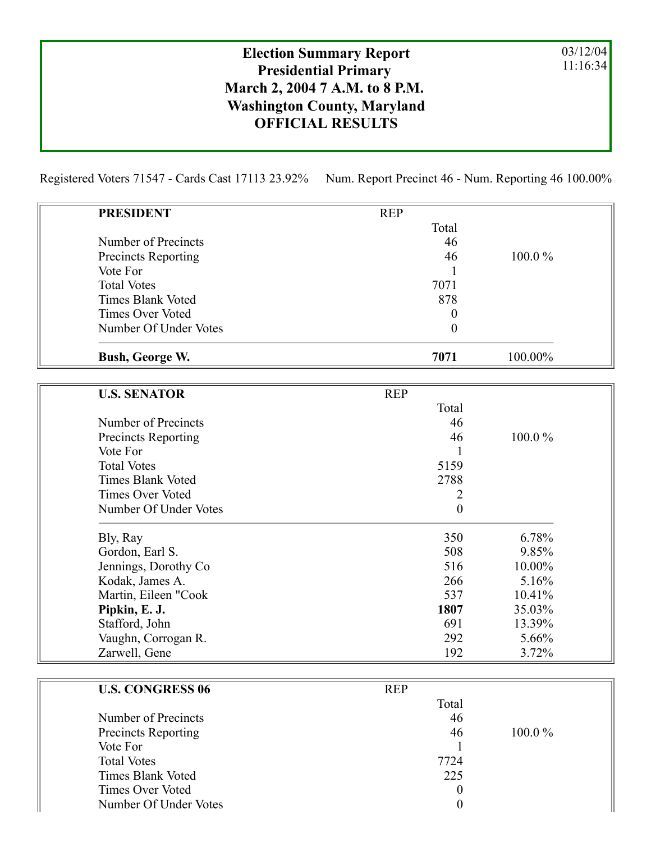## Election Summary Report Presidential Primary March 2, 2004 7 A.M. to 8 P.M. Washington County, Maryland OFFICIAL RESULTS

03/12/04 11:16:34

Registered Voters 71547 - Cards Cast 17113 23.92% Num. Report Precinct 46 - Num. Reporting 46 100.00%

| <b>PRESIDENT</b>                | <b>REP</b>          |         |
|---------------------------------|---------------------|---------|
|                                 | Total               |         |
| Number of Precincts             | 46                  |         |
| <b>Precincts Reporting</b>      | 46                  | 100.0%  |
| Vote For                        |                     |         |
| <b>Total Votes</b>              | 7071                |         |
| <b>Times Blank Voted</b>        | 878                 |         |
| <b>Times Over Voted</b>         | $\theta$            |         |
| Number Of Under Votes           | $\boldsymbol{0}$    |         |
| Bush, George W.                 | 7071                | 100.00% |
|                                 |                     |         |
| <b>U.S. SENATOR</b>             | <b>REP</b><br>Total |         |
| Number of Precincts             | 46                  |         |
|                                 | 46                  | 100.0%  |
| Precincts Reporting<br>Vote For | 1                   |         |
| <b>Total Votes</b>              | 5159                |         |
| <b>Times Blank Voted</b>        | 2788                |         |
| <b>Times Over Voted</b>         | 2                   |         |
| Number Of Under Votes           | $\mathbf{0}$        |         |
| Bly, Ray                        | 350                 | 6.78%   |
| Gordon, Earl S.                 | 508                 | 9.85%   |
| Jennings, Dorothy Co            | 516                 | 10.00%  |
| Kodak, James A.                 | 266                 | 5.16%   |
| Martin, Eileen "Cook            | 537                 | 10.41%  |
| Pipkin, E. J.                   | 1807                | 35.03%  |
| Stafford, John                  | 691                 | 13.39%  |
| Vaughn, Corrogan R.             | 292                 | 5.66%   |
| Zarwell, Gene                   | 192                 | 3.72%   |
| <b>U.S. CONGRESS 06</b>         | <b>REP</b>          |         |
|                                 | Total               |         |
| Number of Precincts             | 46                  |         |
| <b>Precincts Reporting</b>      | 46                  | 100.0%  |
| Vote For                        | 1                   |         |
| <b>Total Votes</b>              | 7724                |         |
| Times Blank Voted               | 225                 |         |

Times Over Voted 0 Number Of Under Votes 0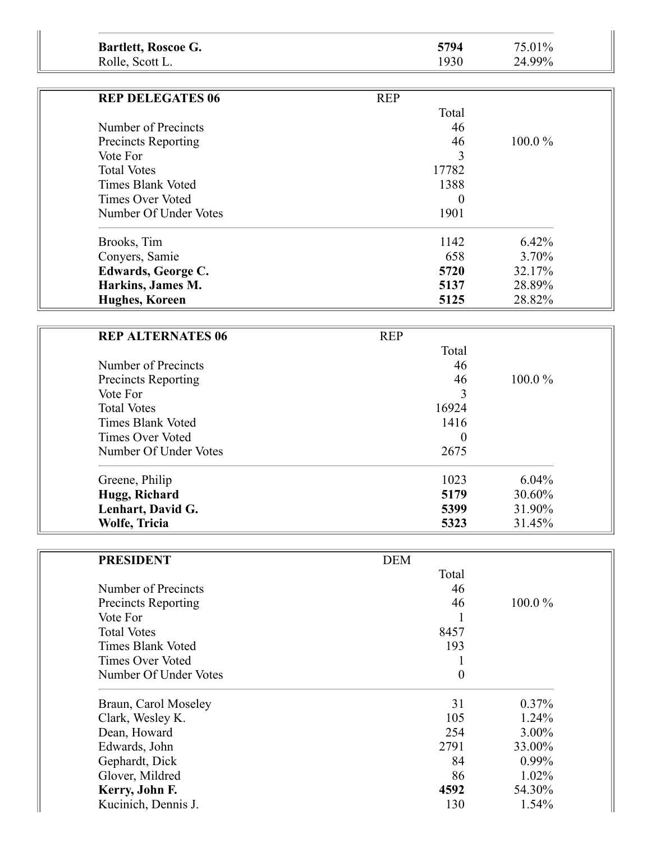| 5794<br>75.01%<br>Bartlett, Roscoe G.<br>24.99%<br>1930<br>Rolle, Scott L. |
|----------------------------------------------------------------------------|
|----------------------------------------------------------------------------|

| <b>REP DELEGATES 06</b>    | <b>REP</b> |           |
|----------------------------|------------|-----------|
|                            | Total      |           |
| Number of Precincts        | 46         |           |
| <b>Precincts Reporting</b> | 46         | $100.0\%$ |
| Vote For                   | 3          |           |
| <b>Total Votes</b>         | 17782      |           |
| <b>Times Blank Voted</b>   | 1388       |           |
| Times Over Voted           | $\theta$   |           |
| Number Of Under Votes      | 1901       |           |
| Brooks, Tim                | 1142       | 6.42%     |
| Conyers, Samie             | 658        | 3.70%     |
| Edwards, George C.         | 5720       | 32.17%    |
| Harkins, James M.          | 5137       | 28.89%    |
| <b>Hughes, Koreen</b>      | 5125       | 28.82%    |

| <b>REP ALTERNATES 06</b>   | <b>REP</b> |           |  |
|----------------------------|------------|-----------|--|
|                            | Total      |           |  |
| Number of Precincts        | 46         |           |  |
| <b>Precincts Reporting</b> | 46         | $100.0\%$ |  |
| Vote For                   | 3          |           |  |
| <b>Total Votes</b>         | 16924      |           |  |
| <b>Times Blank Voted</b>   | 1416       |           |  |
| <b>Times Over Voted</b>    | $\theta$   |           |  |
| Number Of Under Votes      | 2675       |           |  |
| Greene, Philip             | 1023       | $6.04\%$  |  |
| Hugg, Richard              | 5179       | 30.60%    |  |
| Lenhart, David G.          | 5399       | 31.90%    |  |
| Wolfe, Tricia              | 5323       | 31.45%    |  |

| <b>PRESIDENT</b>        | <b>DEM</b>       |           |
|-------------------------|------------------|-----------|
|                         | Total            |           |
| Number of Precincts     | 46               |           |
| Precincts Reporting     | 46               | $100.0\%$ |
| Vote For                |                  |           |
| <b>Total Votes</b>      | 8457             |           |
| Times Blank Voted       | 193              |           |
| <b>Times Over Voted</b> |                  |           |
| Number Of Under Votes   | $\boldsymbol{0}$ |           |
| Braun, Carol Moseley    | 31               | $0.37\%$  |
| Clark, Wesley K.        | 105              | $1.24\%$  |
| Dean, Howard            | 254              | $3.00\%$  |
| Edwards, John           | 2791             | 33.00%    |
| Gephardt, Dick          | 84               | $0.99\%$  |
| Glover, Mildred         | 86               | $1.02\%$  |
| Kerry, John F.          | 4592             | 54.30%    |
| Kucinich, Dennis J.     | 130              | 1.54%     |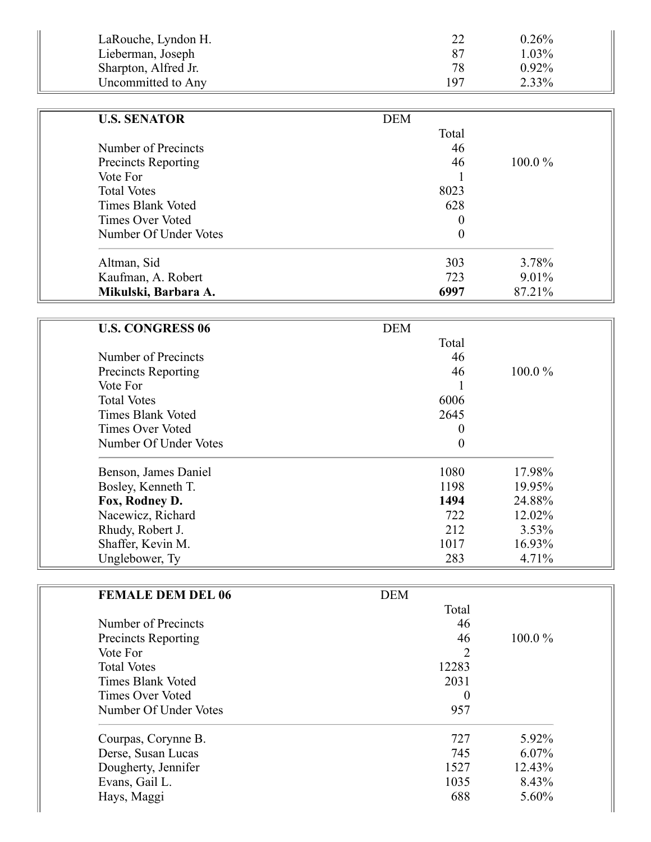| LaRouche, Lyndon H.  | 22  | $0.26\%$ |
|----------------------|-----|----------|
| Lieberman, Joseph    | -87 | 1.03%    |
| Sharpton, Alfred Jr. | 78  | $0.92\%$ |
| Uncommitted to Any   | 197 | 2.33%    |

| <b>U.S. SENATOR</b>        | <b>DEM</b> |           |
|----------------------------|------------|-----------|
|                            | Total      |           |
| Number of Precincts        | 46         |           |
| <b>Precincts Reporting</b> | 46         | $100.0\%$ |
| Vote For                   |            |           |
| <b>Total Votes</b>         | 8023       |           |
| Times Blank Voted          | 628        |           |
| Times Over Voted           | 0          |           |
| Number Of Under Votes      | 0          |           |
| Altman, Sid                | 303        | 3.78%     |
| Kaufman, A. Robert         | 723        | 9.01%     |
| Mikulski, Barbara A.       | 6997       | 87.21%    |

| <b>U.S. CONGRESS 06</b>    | <b>DEM</b>       |           |
|----------------------------|------------------|-----------|
|                            | Total            |           |
| Number of Precincts        | 46               |           |
| <b>Precincts Reporting</b> | 46               | $100.0\%$ |
| Vote For                   |                  |           |
| <b>Total Votes</b>         | 6006             |           |
| <b>Times Blank Voted</b>   | 2645             |           |
| <b>Times Over Voted</b>    | $\theta$         |           |
| Number Of Under Votes      | $\boldsymbol{0}$ |           |
| Benson, James Daniel       | 1080             | 17.98%    |
| Bosley, Kenneth T.         | 1198             | 19.95%    |
| Fox, Rodney D.             | 1494             | 24.88%    |
| Nacewicz, Richard          | 722              | 12.02%    |
| Rhudy, Robert J.           | 212              | $3.53\%$  |
| Shaffer, Kevin M.          | 1017             | 16.93%    |
| Unglebower, Ty             | 283              | 4.71%     |

| <b>FEMALE DEM DEL 06</b>   | <b>DEM</b> |           |
|----------------------------|------------|-----------|
|                            | Total      |           |
| Number of Precincts        | 46         |           |
| <b>Precincts Reporting</b> | 46         | $100.0\%$ |
| Vote For                   | 2          |           |
| <b>Total Votes</b>         | 12283      |           |
| <b>Times Blank Voted</b>   | 2031       |           |
| Times Over Voted           | $\theta$   |           |
| Number Of Under Votes      | 957        |           |
| Courpas, Corynne B.        | 727        | 5.92%     |
| Derse, Susan Lucas         | 745        | $6.07\%$  |
| Dougherty, Jennifer        | 1527       | 12.43%    |
| Evans, Gail L.             | 1035       | 8.43%     |
| Hays, Maggi                | 688        | 5.60%     |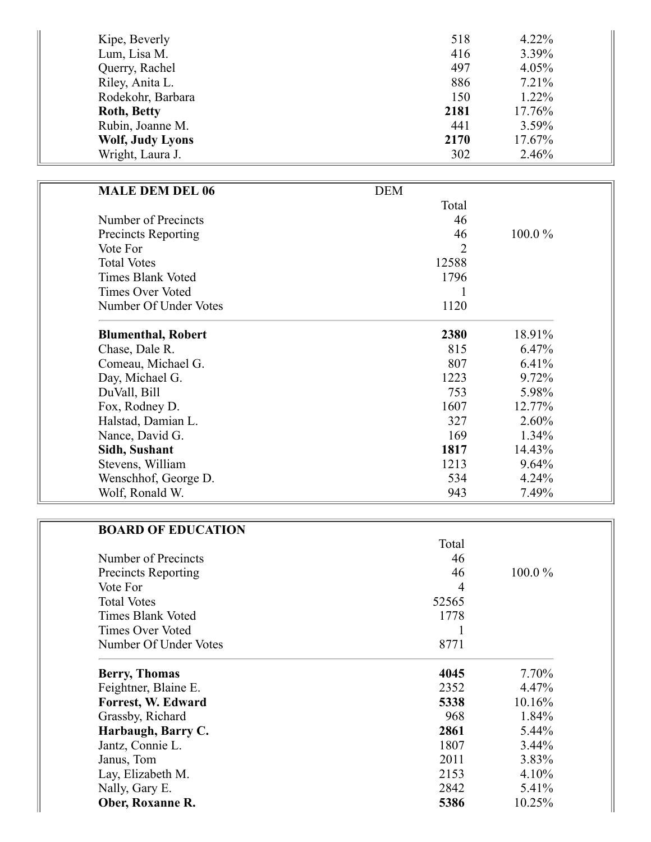| Kipe, Beverly           | 518  | $4.22\%$ |
|-------------------------|------|----------|
| Lum, Lisa M.            | 416  | 3.39%    |
| Querry, Rachel          | 497  | 4.05%    |
| Riley, Anita L.         | 886  | 7.21%    |
| Rodekohr, Barbara       | 150  | 1.22%    |
| <b>Roth, Betty</b>      | 2181 | 17.76%   |
| Rubin, Joanne M.        | 441  | 3.59%    |
| <b>Wolf, Judy Lyons</b> | 2170 | 17.67%   |
| Wright, Laura J.        | 302  | 2.46%    |

| <b>MALE DEM DEL 06</b>     | <b>DEM</b> |           |
|----------------------------|------------|-----------|
|                            | Total      |           |
| Number of Precincts        | 46         |           |
| <b>Precincts Reporting</b> | 46         | $100.0\%$ |
| Vote For                   | 2          |           |
| <b>Total Votes</b>         | 12588      |           |
| <b>Times Blank Voted</b>   | 1796       |           |
| <b>Times Over Voted</b>    |            |           |
| Number Of Under Votes      | 1120       |           |
| <b>Blumenthal, Robert</b>  | 2380       | 18.91%    |
| Chase, Dale R.             | 815        | 6.47%     |
| Comeau, Michael G.         | 807        | 6.41%     |
| Day, Michael G.            | 1223       | 9.72%     |
| DuVall, Bill               | 753        | 5.98%     |
| Fox, Rodney D.             | 1607       | 12.77%    |
| Halstad, Damian L.         | 327        | 2.60%     |
| Nance, David G.            | 169        | 1.34%     |
| Sidh, Sushant              | 1817       | 14.43%    |
| Stevens, William           | 1213       | 9.64%     |
| Wenschhof, George D.       | 534        | 4.24%     |
| Wolf, Ronald W.            | 943        | 7.49%     |

| <b>BOARD OF EDUCATION</b>  |       |          |
|----------------------------|-------|----------|
|                            | Total |          |
| Number of Precincts        | 46    |          |
| <b>Precincts Reporting</b> | 46    | 100.0%   |
| Vote For                   | 4     |          |
| <b>Total Votes</b>         | 52565 |          |
| <b>Times Blank Voted</b>   | 1778  |          |
| <b>Times Over Voted</b>    |       |          |
| Number Of Under Votes      | 8771  |          |
| <b>Berry, Thomas</b>       | 4045  | 7.70%    |
| Feightner, Blaine E.       | 2352  | 4.47%    |
| Forrest, W. Edward         | 5338  | 10.16%   |
| Grassby, Richard           | 968   | 1.84%    |
| Harbaugh, Barry C.         | 2861  | 5.44%    |
| Jantz, Connie L.           | 1807  | $3.44\%$ |
| Janus, Tom                 | 2011  | 3.83%    |
| Lay, Elizabeth M.          | 2153  | 4.10%    |
| Nally, Gary E.             | 2842  | 5.41%    |
| Ober, Roxanne R.           | 5386  | 10.25%   |